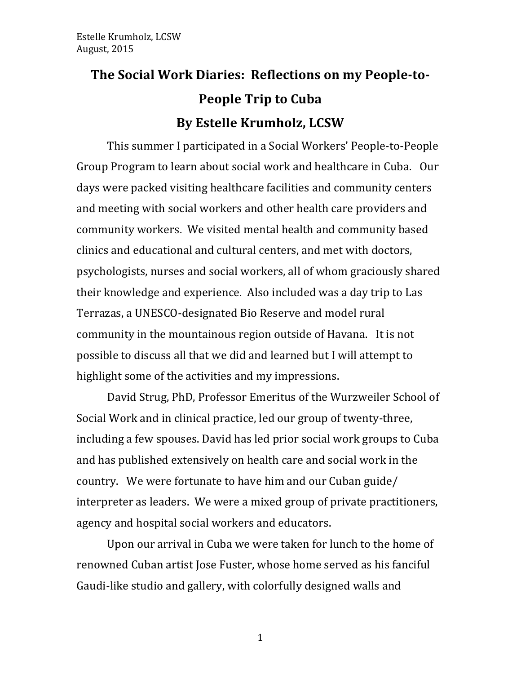# The Social Work Diaries: Reflections on my People-to-**People Trip to Cuba By Estelle Krumholz, LCSW**

This summer I participated in a Social Workers' People-to-People Group Program to learn about social work and healthcare in Cuba. Our days were packed visiting healthcare facilities and community centers and meeting with social workers and other health care providers and community workers. We visited mental health and community based clinics and educational and cultural centers, and met with doctors, psychologists, nurses and social workers, all of whom graciously shared their knowledge and experience. Also included was a day trip to Las Terrazas, a UNESCO-designated Bio Reserve and model rural community in the mountainous region outside of Havana. It is not possible to discuss all that we did and learned but I will attempt to highlight some of the activities and my impressions.

David Strug, PhD, Professor Emeritus of the Wurzweiler School of Social Work and in clinical practice, led our group of twenty-three, including a few spouses. David has led prior social work groups to Cuba and has published extensively on health care and social work in the country. We were fortunate to have him and our Cuban guide/ interpreter as leaders. We were a mixed group of private practitioners, agency and hospital social workers and educators.

Upon our arrival in Cuba we were taken for lunch to the home of renowned Cuban artist Jose Fuster, whose home served as his fanciful Gaudi-like studio and gallery, with colorfully designed walls and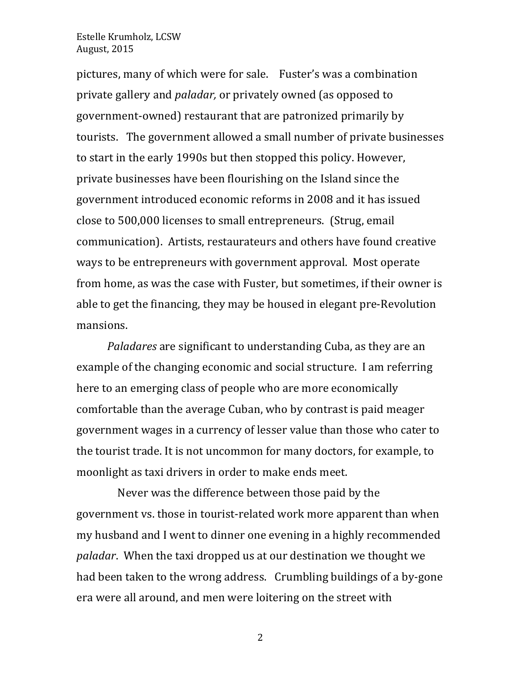pictures, many of which were for sale. Fuster's was a combination private gallery and *paladar*, or privately owned (as opposed to government-owned) restaurant that are patronized primarily by tourists. The government allowed a small number of private businesses to start in the early 1990s but then stopped this policy. However, private businesses have been flourishing on the Island since the government introduced economic reforms in 2008 and it has issued close to 500,000 licenses to small entrepreneurs. (Strug, email communication). Artists, restaurateurs and others have found creative ways to be entrepreneurs with government approval. Most operate from home, as was the case with Fuster, but sometimes, if their owner is able to get the financing, they may be housed in elegant pre-Revolution mansions. 

*Paladares* are significant to understanding Cuba, as they are an example of the changing economic and social structure. I am referring here to an emerging class of people who are more economically comfortable than the average Cuban, who by contrast is paid meager government wages in a currency of lesser value than those who cater to the tourist trade. It is not uncommon for many doctors, for example, to moonlight as taxi drivers in order to make ends meet.

Never was the difference between those paid by the government vs. those in tourist-related work more apparent than when my husband and I went to dinner one evening in a highly recommended *paladar*. When the taxi dropped us at our destination we thought we had been taken to the wrong address. Crumbling buildings of a by-gone era were all around, and men were loitering on the street with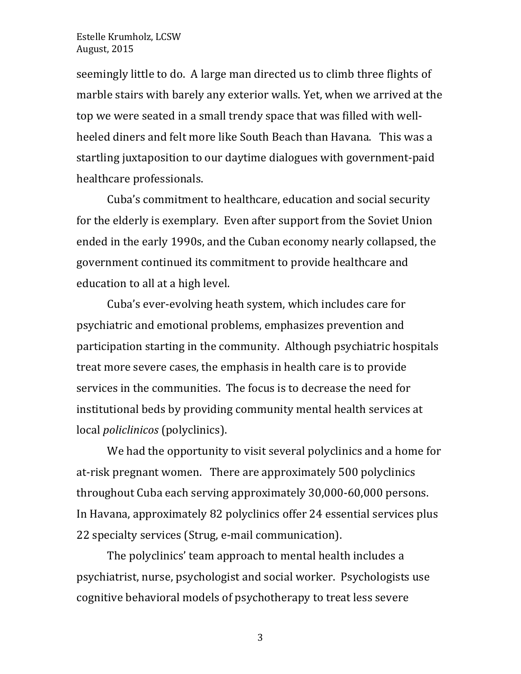seemingly little to do. A large man directed us to climb three flights of marble stairs with barely any exterior walls. Yet, when we arrived at the top we were seated in a small trendy space that was filled with wellheeled diners and felt more like South Beach than Havana. This was a startling juxtaposition to our daytime dialogues with government-paid healthcare professionals.

Cuba's commitment to healthcare, education and social security for the elderly is exemplary. Even after support from the Soviet Union ended in the early 1990s, and the Cuban economy nearly collapsed, the government continued its commitment to provide healthcare and education to all at a high level.

Cuba's ever-evolving heath system, which includes care for psychiatric and emotional problems, emphasizes prevention and participation starting in the community. Although psychiatric hospitals treat more severe cases, the emphasis in health care is to provide services in the communities. The focus is to decrease the need for institutional beds by providing community mental health services at local *policlinicos* (polyclinics).

We had the opportunity to visit several polyclinics and a home for at-risk pregnant women. There are approximately 500 polyclinics throughout Cuba each serving approximately 30,000-60,000 persons. In Havana, approximately 82 polyclinics offer 24 essential services plus 22 specialty services (Strug, e-mail communication).

The polyclinics' team approach to mental health includes a psychiatrist, nurse, psychologist and social worker. Psychologists use cognitive behavioral models of psychotherapy to treat less severe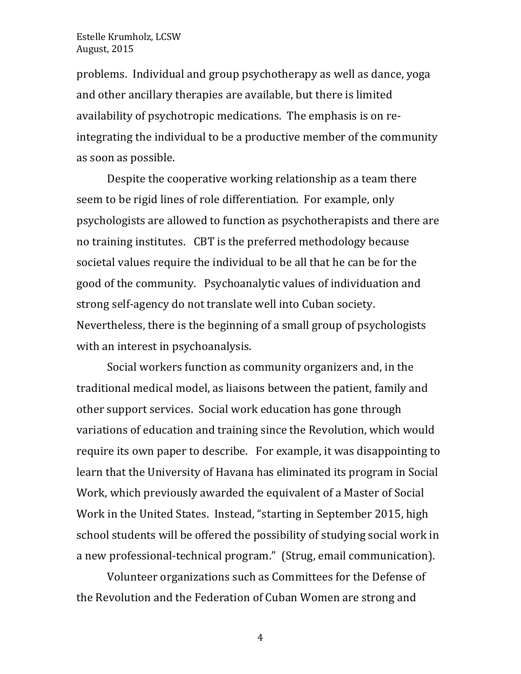problems. Individual and group psychotherapy as well as dance, yoga and other ancillary therapies are available, but there is limited availability of psychotropic medications. The emphasis is on reintegrating the individual to be a productive member of the community as soon as possible.

Despite the cooperative working relationship as a team there seem to be rigid lines of role differentiation. For example, only psychologists are allowed to function as psychotherapists and there are no training institutes. CBT is the preferred methodology because societal values require the individual to be all that he can be for the good of the community. Psychoanalytic values of individuation and strong self-agency do not translate well into Cuban society. Nevertheless, there is the beginning of a small group of psychologists with an interest in psychoanalysis.

Social workers function as community organizers and, in the traditional medical model, as liaisons between the patient, family and other support services. Social work education has gone through variations of education and training since the Revolution, which would require its own paper to describe. For example, it was disappointing to learn that the University of Havana has eliminated its program in Social Work, which previously awarded the equivalent of a Master of Social Work in the United States. Instead, "starting in September 2015, high school students will be offered the possibility of studying social work in a new professional-technical program." (Strug, email communication).

Volunteer organizations such as Committees for the Defense of the Revolution and the Federation of Cuban Women are strong and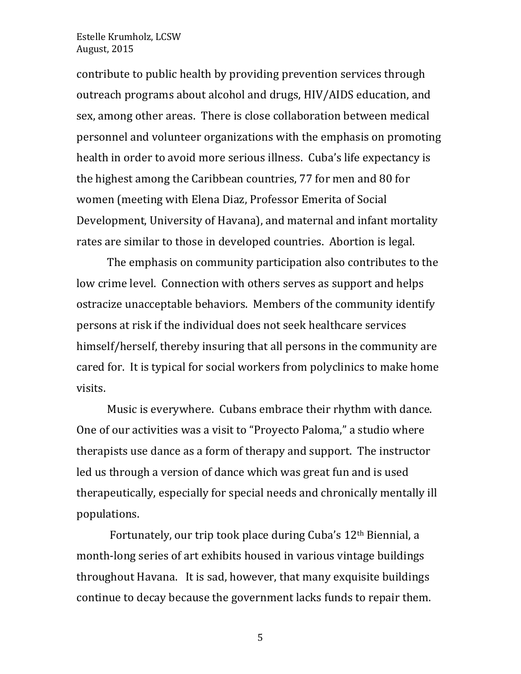contribute to public health by providing prevention services through outreach programs about alcohol and drugs, HIV/AIDS education, and sex, among other areas. There is close collaboration between medical personnel and volunteer organizations with the emphasis on promoting health in order to avoid more serious illness. Cuba's life expectancy is the highest among the Caribbean countries, 77 for men and 80 for women (meeting with Elena Diaz, Professor Emerita of Social Development, University of Havana), and maternal and infant mortality rates are similar to those in developed countries. Abortion is legal.

The emphasis on community participation also contributes to the low crime level. Connection with others serves as support and helps ostracize unacceptable behaviors. Members of the community identify persons at risk if the individual does not seek healthcare services himself/herself, thereby insuring that all persons in the community are cared for. It is typical for social workers from polyclinics to make home visits. 

Music is everywhere. Cubans embrace their rhythm with dance. One of our activities was a visit to "Proyecto Paloma," a studio where therapists use dance as a form of therapy and support. The instructor led us through a version of dance which was great fun and is used therapeutically, especially for special needs and chronically mentally ill populations.

Fortunately, our trip took place during Cuba's 12<sup>th</sup> Biennial, a month-long series of art exhibits housed in various vintage buildings throughout Havana. It is sad, however, that many exquisite buildings continue to decay because the government lacks funds to repair them.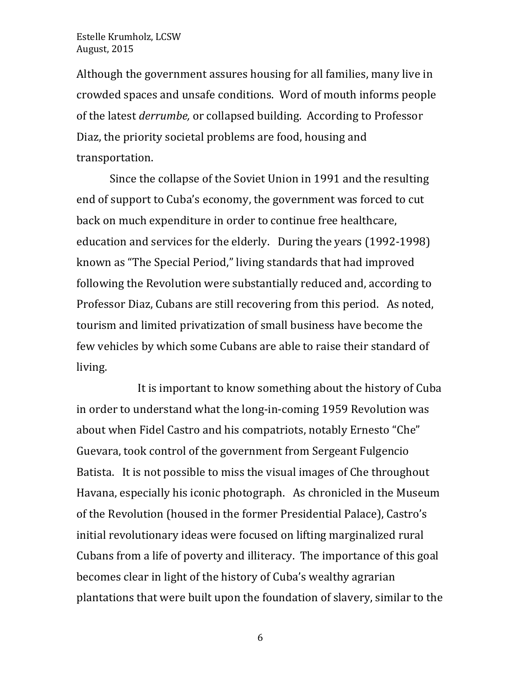Although the government assures housing for all families, many live in crowded spaces and unsafe conditions. Word of mouth informs people of the latest *derrumbe*, or collapsed building. According to Professor Diaz, the priority societal problems are food, housing and transportation. 

Since the collapse of the Soviet Union in 1991 and the resulting end of support to Cuba's economy, the government was forced to cut back on much expenditure in order to continue free healthcare, education and services for the elderly. During the years (1992-1998) known as "The Special Period," living standards that had improved following the Revolution were substantially reduced and, according to Professor Diaz, Cubans are still recovering from this period. As noted, tourism and limited privatization of small business have become the few vehicles by which some Cubans are able to raise their standard of living. 

It is important to know something about the history of Cuba in order to understand what the long-in-coming 1959 Revolution was about when Fidel Castro and his compatriots, notably Ernesto "Che" Guevara, took control of the government from Sergeant Fulgencio Batista. It is not possible to miss the visual images of Che throughout Havana, especially his iconic photograph. As chronicled in the Museum of the Revolution (housed in the former Presidential Palace), Castro's initial revolutionary ideas were focused on lifting marginalized rural Cubans from a life of poverty and illiteracy. The importance of this goal becomes clear in light of the history of Cuba's wealthy agrarian plantations that were built upon the foundation of slavery, similar to the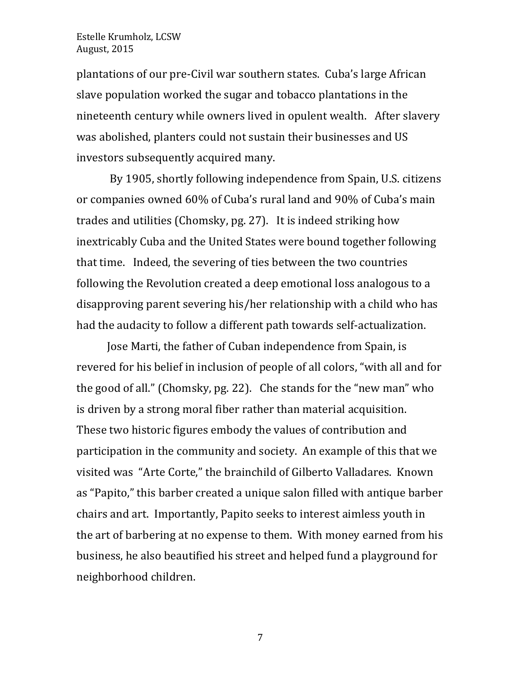plantations of our pre-Civil war southern states. Cuba's large African slave population worked the sugar and tobacco plantations in the nineteenth century while owners lived in opulent wealth. After slavery was abolished, planters could not sustain their businesses and US investors subsequently acquired many.

By 1905, shortly following independence from Spain, U.S. citizens or companies owned 60% of Cuba's rural land and 90% of Cuba's main trades and utilities (Chomsky,  $pg. 27$ ). It is indeed striking how inextricably Cuba and the United States were bound together following that time. Indeed, the severing of ties between the two countries following the Revolution created a deep emotional loss analogous to a disapproving parent severing his/her relationship with a child who has had the audacity to follow a different path towards self-actualization.

Jose Marti, the father of Cuban independence from Spain, is revered for his belief in inclusion of people of all colors, "with all and for the good of all." (Chomsky, pg. 22). Che stands for the "new man" who is driven by a strong moral fiber rather than material acquisition. These two historic figures embody the values of contribution and participation in the community and society. An example of this that we visited was "Arte Corte," the brainchild of Gilberto Valladares. Known as "Papito," this barber created a unique salon filled with antique barber chairs and art. Importantly, Papito seeks to interest aimless youth in the art of barbering at no expense to them. With money earned from his business, he also beautified his street and helped fund a playground for neighborhood children.